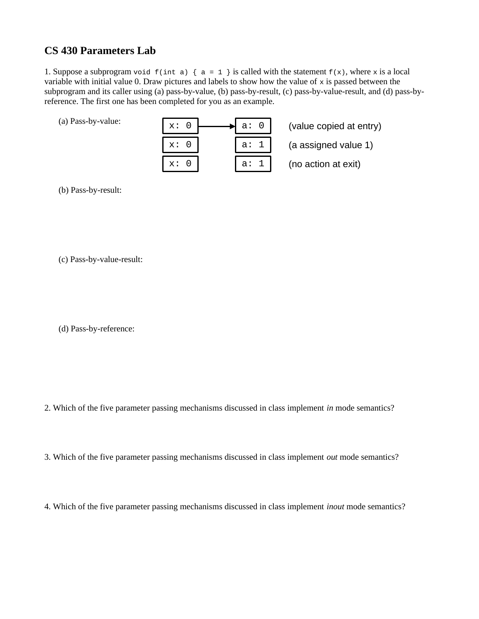## **CS 430 Parameters Lab**

1. Suppose a subprogram void  $f(int a) \{ a = 1 \}$  is called with the statement  $f(x)$ , where x is a local variable with initial value 0. Draw pictures and labels to show how the value of x is passed between the subprogram and its caller using (a) pass-by-value, (b) pass-by-result, (c) pass-by-value-result, and (d) pass-byreference. The first one has been completed for you as an example.

(a) Pass-by-value:

| 0<br>x:         | $a$ :<br>Θ |
|-----------------|------------|
|                 |            |
| 0<br>X:         | $a$ :<br>1 |
| $\times$ :<br>റ | a:         |

(value copied at entry)

(a assigned value 1)

(no action at exit)

(b) Pass-by-result:

(c) Pass-by-value-result:

(d) Pass-by-reference:

2. Which of the five parameter passing mechanisms discussed in class implement *in* mode semantics?

3. Which of the five parameter passing mechanisms discussed in class implement *out* mode semantics?

4. Which of the five parameter passing mechanisms discussed in class implement *inout* mode semantics?